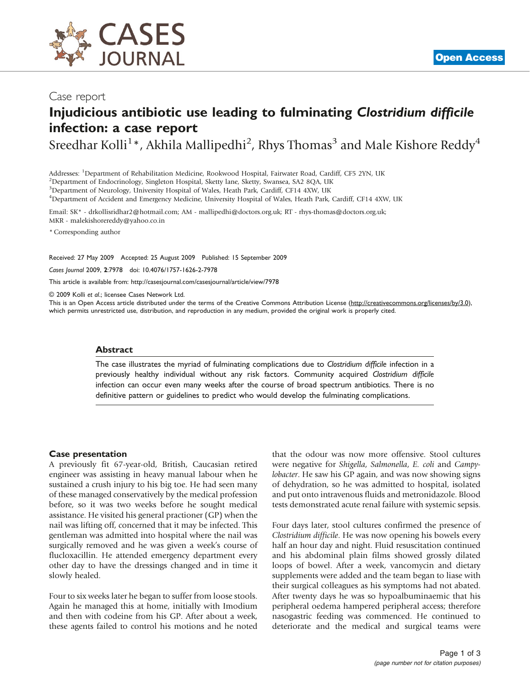

# Injudicious antibiotic use leading to fulminating Clostridium difficile infection: a case report

Sreedhar Kolli $^{1\ast}$ , Akhila Mallipedhi $^{2}$ , Rhys Thomas $^{3}$  and Male Kishore Reddy $^{4}$ 

Addresses: <sup>1</sup>Department of Rehabilitation Medicine, Rookwood Hospital, Fairwater Road, Cardiff, CF5 2YN, UK<br><sup>2</sup>Department of Endocrinology, Singleton Hospital, Sketty Jane, Sketty, Swansea, SA2 8OA, UK

<sup>2</sup>Department of Endocrinology, Singleton Hospital, Sketty lane, Sketty, Swansea, SA2 8QA, UK

<sup>3</sup>Department of Neurology, University Hospital of Wales, Heath Park, Cardiff, CF14 4XW, UK

4 Department of Accident and Emergency Medicine, University Hospital of Wales, Heath Park, Cardiff, CF14 4XW, UK

Email: SK\* - [drkollisridhar2@hotmail.com](mailto:drkollisridhar2@hotmail.com); AM - [mallipedhi@doctors.org.uk](mailto:mallipedhi@doctors.org.uk); RT - [rhys-thomas@doctors.org.uk;](mailto:rhys-thomas@doctors.org.uk) MKR - [malekishorereddy@yahoo.co.in](mailto:malekishorereddy@yahoo.co.in)

\* Corresponding author

Received: 27 May 2009 Accepted: 25 August 2009 Published: 15 September 2009

Cases Journal 2009, 2:7978 doi: 10.4076/1757-1626-2-7978

This article is available from:<http://casesjournal.com/casesjournal/article/view/7978>

© 2009 Kolli et al.; licensee Cases Network Ltd.

This is an Open Access article distributed under the terms of the Creative Commons Attribution License [\(http://creativecommons.org/licenses/by/3.0\)](http://creativecommons.org/licenses/by/3.0), which permits unrestricted use, distribution, and reproduction in any medium, provided the original work is properly cited.

#### **Abstract**

The case illustrates the myriad of fulminating complications due to Clostridium difficile infection in a previously healthy individual without any risk factors. Community acquired Clostridium difficile infection can occur even many weeks after the course of broad spectrum antibiotics. There is no definitive pattern or guidelines to predict who would develop the fulminating complications.

#### Case presentation

A previously fit 67-year-old, British, Caucasian retired engineer was assisting in heavy manual labour when he sustained a crush injury to his big toe. He had seen many of these managed conservatively by the medical profession before, so it was two weeks before he sought medical assistance. He visited his general practioner (GP) when the nail was lifting off, concerned that it may be infected. This gentleman was admitted into hospital where the nail was surgically removed and he was given a week's course of flucloxacillin. He attended emergency department every other day to have the dressings changed and in time it slowly healed.

Four to six weeks later he began to suffer from loose stools. Again he managed this at home, initially with Imodium and then with codeine from his GP. After about a week, these agents failed to control his motions and he noted that the odour was now more offensive. Stool cultures were negative for Shigella, Salmonella, E. coli and Campylobacter. He saw his GP again, and was now showing signs of dehydration, so he was admitted to hospital, isolated and put onto intravenous fluids and metronidazole. Blood tests demonstrated acute renal failure with systemic sepsis.

Four days later, stool cultures confirmed the presence of Clostridium difficile. He was now opening his bowels every half an hour day and night. Fluid resuscitation continued and his abdominal plain films showed grossly dilated loops of bowel. After a week, vancomycin and dietary supplements were added and the team began to liase with their surgical colleagues as his symptoms had not abated. After twenty days he was so hypoalbuminaemic that his peripheral oedema hampered peripheral access; therefore nasogastric feeding was commenced. He continued to deteriorate and the medical and surgical teams were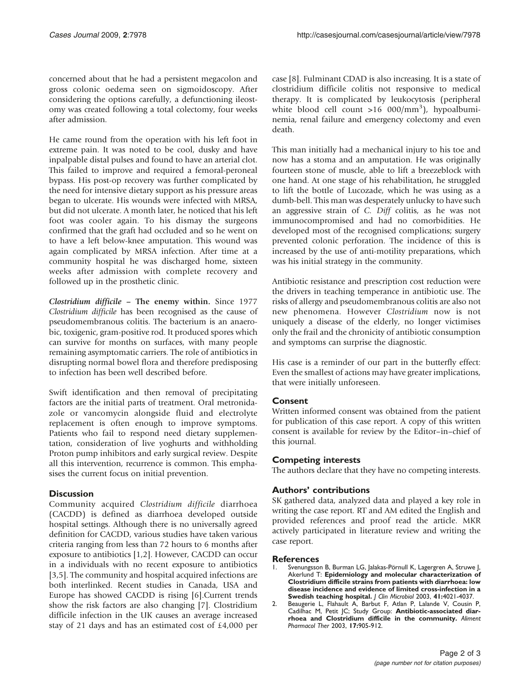concerned about that he had a persistent megacolon and gross colonic oedema seen on sigmoidoscopy. After considering the options carefully, a defunctioning ileostomy was created following a total colectomy, four weeks after admission.

He came round from the operation with his left foot in extreme pain. It was noted to be cool, dusky and have inpalpable distal pulses and found to have an arterial clot. This failed to improve and required a femoral-peroneal bypass. His post-op recovery was further complicated by the need for intensive dietary support as his pressure areas began to ulcerate. His wounds were infected with MRSA, but did not ulcerate. A month later, he noticed that his left foot was cooler again. To his dismay the surgeons confirmed that the graft had occluded and so he went on to have a left below-knee amputation. This wound was again complicated by MRSA infection. After time at a community hospital he was discharged home, sixteen weeks after admission with complete recovery and followed up in the prosthetic clinic.

Clostridium difficile – The enemy within. Since 1977 Clostridium difficile has been recognised as the cause of pseudomembranous colitis. The bacterium is an anaerobic, toxigenic, gram-positive rod. It produced spores which can survive for months on surfaces, with many people remaining asymptomatic carriers. The role of antibiotics in disrupting normal bowel flora and therefore predisposing to infection has been well described before.

Swift identification and then removal of precipitating factors are the initial parts of treatment. Oral metronidazole or vancomycin alongside fluid and electrolyte replacement is often enough to improve symptoms. Patients who fail to respond need dietary supplementation, consideration of live yoghurts and withholding Proton pump inhibitors and early surgical review. Despite all this intervention, recurrence is common. This emphasises the current focus on initial prevention.

## **Discussion**

Community acquired Clostridium difficile diarrhoea (CACDD) is defined as diarrhoea developed outside hospital settings. Although there is no universally agreed definition for CACDD, various studies have taken various criteria ranging from less than 72 hours to 6 months after exposure to antibiotics [1,2]. However, CACDD can occur in a individuals with no recent exposure to antibiotics [\[3](#page-2-0),[5](#page-2-0)]. The community and hospital acquired infections are both interlinked. Recent studies in Canada, USA and Europe has showed CACDD is rising [[6](#page-2-0)].Current trends show the risk factors are also changing [\[7](#page-2-0)]. Clostridium difficile infection in the UK causes an average increased stay of 21 days and has an estimated cost of £4,000 per

case [\[8\]](#page-2-0). Fulminant CDAD is also increasing. It is a state of clostridium difficile colitis not responsive to medical therapy. It is complicated by leukocytosis (peripheral white blood cell count >16 000/mm<sup>3</sup>), hypoalbuminemia, renal failure and emergency colectomy and even death.

This man initially had a mechanical injury to his toe and now has a stoma and an amputation. He was originally fourteen stone of muscle, able to lift a breezeblock with one hand. At one stage of his rehabilitation, he struggled to lift the bottle of Lucozade, which he was using as a dumb-bell. This man was desperately unlucky to have such an aggressive strain of C. Diff colitis, as he was not immunocompromised and had no comorbidities. He developed most of the recognised complications; surgery prevented colonic perforation. The incidence of this is increased by the use of anti-motility preparations, which was his initial strategy in the community.

Antibiotic resistance and prescription cost reduction were the drivers in teaching temperance in antibiotic use. The risks of allergy and pseudomembranous colitis are also not new phenomena. However Clostridium now is not uniquely a disease of the elderly, no longer victimises only the frail and the chronicity of antibiotic consumption and symptoms can surprise the diagnostic.

His case is a reminder of our part in the butterfly effect: Even the smallest of actions may have greater implications, that were initially unforeseen.

## Consent

Written informed consent was obtained from the patient for publication of this case report. A copy of this written consent is available for review by the Editor–in–chief of this journal.

## Competing interests

The authors declare that they have no competing interests.

## Authors' contributions

SK gathered data, analyzed data and played a key role in writing the case report. RT and AM edited the English and provided references and proof read the article. MKR actively participated in literature review and writing the case report.

#### References

- 1. Svenungsson B, Burman LG, Jalakas-Pörnull K, Lagergren A, Struwe J, Akerlund T: Epidemiology and molecular characterization of Clostridium difficile strains from patients with diarrhoea: low disease incidence and evidence of limited cross-infection in a Swedish teaching hospital. J Clin Microbiol 2003, 41:4021-4037.
- 2. Beaugerie L, Flahault A, Barbut F, Atlan P, Lalande V, Cousin P, Cadilhac M, Petit JC; Study Group: Antibiotic-associated diar-rhoea and Clostridium difficile in the community. Aliment Pharmacol Ther 2003, 17:905-912.